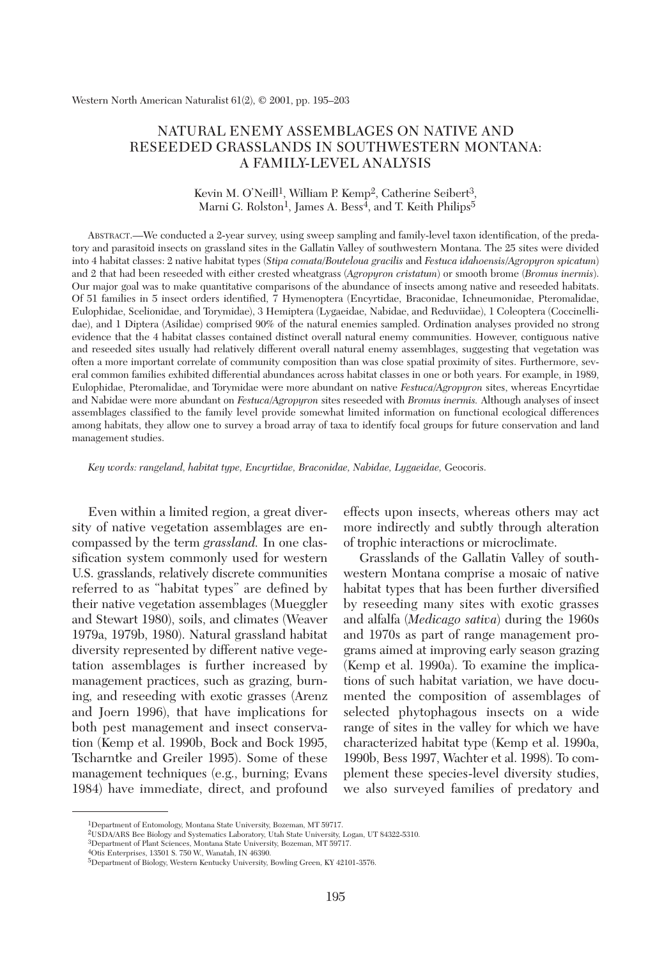# NATURAL ENEMY ASSEMBLAGES ON NATIVE AND RESEEDED GRASSLANDS IN SOUTHWESTERN MONTANA: A FAMILY-LEVEL ANALYSIS

### Kevin M. O'Neill<sup>1</sup>, William P. Kemp<sup>2</sup>, Catherine Seibert<sup>3</sup>, Marni G. Rolston<sup>1</sup>, James A. Bess<sup>4</sup>, and T. Keith Philips<sup>5</sup>

ABSTRACT.—We conducted a 2-year survey, using sweep sampling and family-level taxon identification, of the predatory and parasitoid insects on grassland sites in the Gallatin Valley of southwestern Montana. The 25 sites were divided into 4 habitat classes: 2 native habitat types (*Stipa comata/Bouteloua gracilis* and *Festuca idahoensis*/*Agropyron spicatum*) and 2 that had been reseeded with either crested wheatgrass (*Agropyron cristatum*) or smooth brome (*Bromus inermis*). Our major goal was to make quantitative comparisons of the abundance of insects among native and reseeded habitats. Of 51 families in 5 insect orders identified, 7 Hymenoptera (Encyrtidae, Braconidae, Ichneumonidae, Pteromalidae, Eulophidae, Scelionidae, and Torymidae), 3 Hemiptera (Lygaeidae, Nabidae, and Reduviidae), 1 Coleoptera (Coccinellidae), and 1 Diptera (Asilidae) comprised 90% of the natural enemies sampled. Ordination analyses provided no strong evidence that the 4 habitat classes contained distinct overall natural enemy communities. However, contiguous native and reseeded sites usually had relatively different overall natural enemy assemblages, suggesting that vegetation was often a more important correlate of community composition than was close spatial proximity of sites. Furthermore, several common families exhibited differential abundances across habitat classes in one or both years. For example, in 1989, Eulophidae, Pteromalidae, and Torymidae were more abundant on native *Festuca*/*Agropyron* sites, whereas Encyrtidae and Nabidae were more abundant on *Festuca*/*Agropyron* sites reseeded with *Bromus inermis.* Although analyses of insect assemblages classified to the family level provide somewhat limited information on functional ecological differences among habitats, they allow one to survey a broad array of taxa to identify focal groups for future conservation and land management studies.

*Key words: rangeland, habitat type, Encyrtidae, Braconidae, Nabidae, Lygaeidae,* Geocoris.

Even within a limited region, a great diversity of native vegetation assemblages are encompassed by the term *grassland.* In one classification system commonly used for western U.S. grasslands, relatively discrete communities referred to as "habitat types" are defined by their native vegetation assemblages (Mueggler and Stewart 1980), soils, and climates (Weaver 1979a, 1979b, 1980). Natural grassland habitat diversity represented by different native vegetation assemblages is further increased by management practices, such as grazing, burning, and reseeding with exotic grasses (Arenz and Joern 1996), that have implications for both pest management and insect conservation (Kemp et al. 1990b, Bock and Bock 1995, Tscharntke and Greiler 1995). Some of these management techniques (e.g., burning; Evans 1984) have immediate, direct, and profound effects upon insects, whereas others may act more indirectly and subtly through alteration of trophic interactions or microclimate.

Grasslands of the Gallatin Valley of southwestern Montana comprise a mosaic of native habitat types that has been further diversified by reseeding many sites with exotic grasses and alfalfa (*Medicago sativa*) during the 1960s and 1970s as part of range management programs aimed at improving early season grazing (Kemp et al. 1990a). To examine the implications of such habitat variation, we have documented the composition of assemblages of selected phytophagous insects on a wide range of sites in the valley for which we have characterized habitat type (Kemp et al. 1990a, 1990b, Bess 1997, Wachter et al. 1998). To complement these species-level diversity studies, we also surveyed families of predatory and

<sup>1</sup>Department of Entomology, Montana State University, Bozeman, MT 59717.

<sup>2</sup>USDA/ARS Bee Biology and Systematics Laboratory, Utah State University, Logan, UT 84322-5310.

<sup>3</sup>Department of Plant Sciences, Montana State University, Bozeman, MT 59717.

<sup>4</sup>Otis Enterprises, 13501 S. 750 W., Wanatah, IN 46390.

<sup>5</sup>Department of Biology, Western Kentucky University, Bowling Green, KY 42101-3576.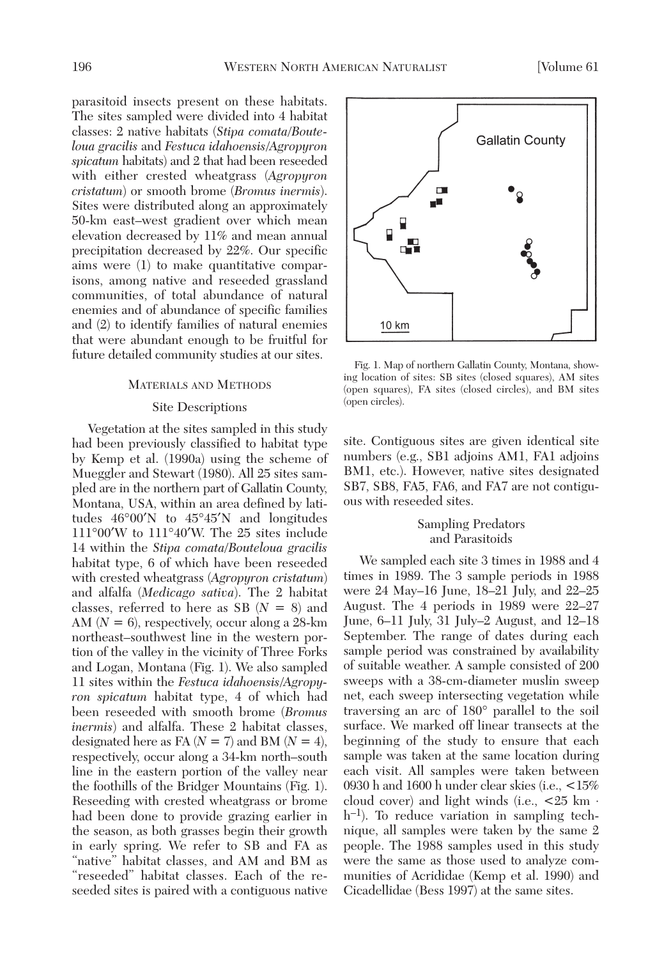parasitoid insects present on these habitats. The sites sampled were divided into 4 habitat classes: 2 native habitats (*Stipa comata/Bouteloua gracilis* and *Festuca idahoensis*/*Agropyron spicatum* habitats) and 2 that had been reseeded with either crested wheatgrass (*Agropyron cristatum*) or smooth brome (*Bromus inermis*). Sites were distributed along an approximately 50-km east–west gradient over which mean elevation decreased by 11% and mean annual precipitation decreased by 22%. Our specific aims were (1) to make quantitative comparisons, among native and reseeded grassland communities, of total abundance of natural enemies and of abundance of specific families and (2) to identify families of natural enemies that were abundant enough to be fruitful for future detailed community studies at our sites.

#### MATERIALS AND METHODS

# Site Descriptions

Vegetation at the sites sampled in this study had been previously classified to habitat type by Kemp et al. (1990a) using the scheme of Mueggler and Stewart (1980). All 25 sites sampled are in the northern part of Gallatin County, Montana, USA, within an area defined by latitudes 46°00′N to 45°45′N and longitudes 111°00′W to 111°40′W. The 25 sites include 14 within the *Stipa comata/Bouteloua gracilis* habitat type, 6 of which have been reseeded with crested wheatgrass (*Agropyron cristatum*) and alfalfa (*Medicago sativa*). The 2 habitat classes, referred to here as SB (*N* = 8) and AM (*N* = 6), respectively, occur along a 28-km northeast–southwest line in the western portion of the valley in the vicinity of Three Forks and Logan, Montana (Fig. 1). We also sampled 11 sites within the *Festuca idahoensis*/*Agropyron spicatum* habitat type, 4 of which had been reseeded with smooth brome (*Bromus inermis*) and alfalfa. These 2 habitat classes, designated here as FA  $(N = 7)$  and BM  $(N = 4)$ , respectively, occur along a 34-km north–south line in the eastern portion of the valley near the foothills of the Bridger Mountains (Fig. 1). Reseeding with crested wheatgrass or brome had been done to provide grazing earlier in the season, as both grasses begin their growth in early spring. We refer to SB and FA as "native" habitat classes, and AM and BM as "reseeded" habitat classes. Each of the reseeded sites is paired with a contiguous native



Fig. 1. Map of northern Gallatin County, Montana, showing location of sites: SB sites (closed squares), AM sites (open squares), FA sites (closed circles), and BM sites (open circles).

site. Contiguous sites are given identical site numbers (e.g., SB1 adjoins AM1, FA1 adjoins BM1, etc.). However, native sites designated SB7, SB8, FA5, FA6, and FA7 are not contiguous with reseeded sites.

## Sampling Predators and Parasitoids

We sampled each site 3 times in 1988 and 4 times in 1989. The 3 sample periods in 1988 were 24 May–16 June, 18–21 July, and 22–25 August. The 4 periods in 1989 were 22–27 June, 6–11 July, 31 July–2 August, and 12–18 September. The range of dates during each sample period was constrained by availability of suitable weather. A sample consisted of 200 sweeps with a 38-cm-diameter muslin sweep net, each sweep intersecting vegetation while traversing an arc of 180° parallel to the soil surface. We marked off linear transects at the beginning of the study to ensure that each sample was taken at the same location during each visit. All samples were taken between 0930 h and 1600 h under clear skies (i.e., <15% cloud cover) and light winds (i.e.,  $\lt 25$  km  $\cdot$ h–1). To reduce variation in sampling technique, all samples were taken by the same 2 people. The 1988 samples used in this study were the same as those used to analyze communities of Acrididae (Kemp et al. 1990) and Cicadellidae (Bess 1997) at the same sites.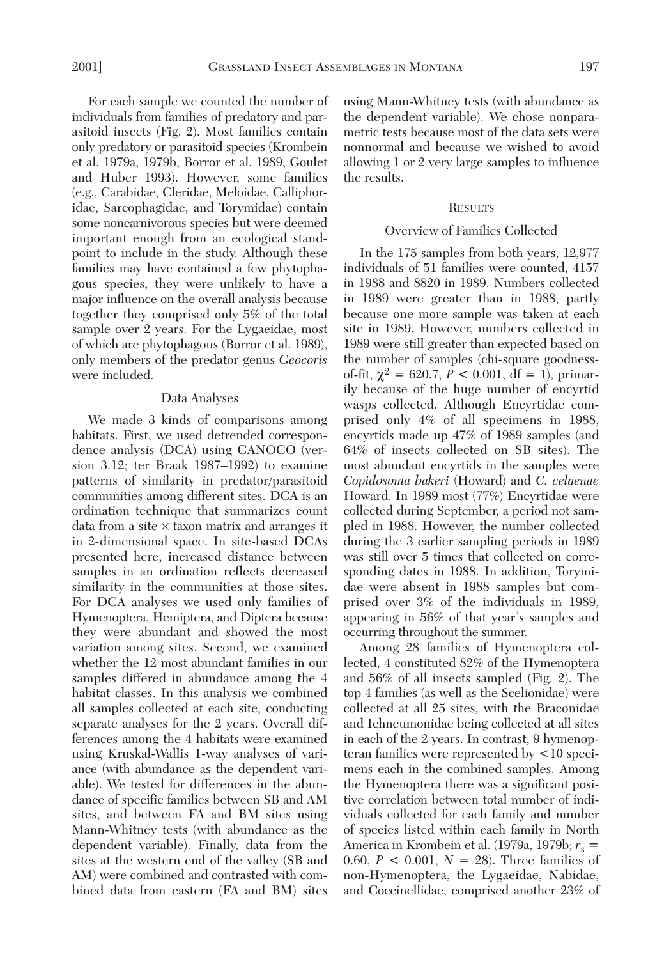For each sample we counted the number of individuals from families of predatory and parasitoid insects (Fig. 2). Most families contain only predatory or parasitoid species (Krombein et al. 1979a, 1979b, Borror et al. 1989, Goulet and Huber 1993). However, some families (e.g., Carabidae, Cleridae, Meloidae, Calliphoridae, Sarcophagidae, and Torymidae) contain some noncarnivorous species but were deemed important enough from an ecological standpoint to include in the study. Although these families may have contained a few phytophagous species, they were unlikely to have a major influence on the overall analysis because together they comprised only 5% of the total sample over 2 years. For the Lygaeidae, most of which are phytophagous (Borror et al. 1989), only members of the predator genus *Geocoris* were included.

#### Data Analyses

We made 3 kinds of comparisons among habitats. First, we used detrended correspondence analysis (DCA) using CANOCO (version 3.12; ter Braak 1987–1992) to examine patterns of similarity in predator/parasitoid communities among different sites. DCA is an ordination technique that summarizes count data from a site  $\times$  taxon matrix and arranges it in 2-dimensional space. In site-based DCAs presented here, increased distance between samples in an ordination reflects decreased similarity in the communities at those sites. For DCA analyses we used only families of Hymenoptera, Hemiptera, and Diptera because they were abundant and showed the most variation among sites. Second, we examined whether the 12 most abundant families in our samples differed in abundance among the 4 habitat classes. In this analysis we combined all samples collected at each site, conducting separate analyses for the 2 years. Overall differences among the 4 habitats were examined using Kruskal-Wallis 1-way analyses of variance (with abundance as the dependent variable). We tested for differences in the abundance of specific families between SB and AM sites, and between FA and BM sites using Mann-Whitney tests (with abundance as the dependent variable). Finally, data from the sites at the western end of the valley (SB and AM) were combined and contrasted with combined data from eastern (FA and BM) sites using Mann-Whitney tests (with abundance as the dependent variable). We chose nonparametric tests because most of the data sets were nonnormal and because we wished to avoid allowing 1 or 2 very large samples to influence the results.

#### **RESULTS**

#### Overview of Families Collected

In the 175 samples from both years, 12,977 individuals of 51 families were counted, 4157 in 1988 and 8820 in 1989. Numbers collected in 1989 were greater than in 1988, partly because one more sample was taken at each site in 1989. However, numbers collected in 1989 were still greater than expected based on the number of samples (chi-square goodnessof-fit,  $\chi^2 = 620.7$ ,  $P < 0.001$ , df = 1), primarily because of the huge number of encyrtid wasps collected. Although Encyrtidae comprised only 4% of all specimens in 1988, encyrtids made up 47% of 1989 samples (and 64% of insects collected on SB sites). The most abundant encyrtids in the samples were *Copidosoma bakeri* (Howard) and *C. celaenae* Howard. In 1989 most (77%) Encyrtidae were collected during September, a period not sampled in 1988. However, the number collected during the 3 earlier sampling periods in 1989 was still over 5 times that collected on corresponding dates in 1988. In addition, Torymidae were absent in 1988 samples but comprised over 3% of the individuals in 1989, appearing in 56% of that year's samples and occurring throughout the summer.

Among 28 families of Hymenoptera collected, 4 constituted 82% of the Hymenoptera and 56% of all insects sampled (Fig. 2). The top 4 families (as well as the Scelionidae) were collected at all 25 sites, with the Braconidae and Ichneumonidae being collected at all sites in each of the 2 years. In contrast, 9 hymenopteran families were represented by <10 specimens each in the combined samples. Among the Hymenoptera there was a significant positive correlation between total number of individuals collected for each family and number of species listed within each family in North America in Krombein et al. (1979a, 1979b;  $r_s$  = 0.60,  $P < 0.001$ ,  $N = 28$ ). Three families of non-Hymenoptera, the Lygaeidae, Nabidae, and Coccinellidae, comprised another 23% of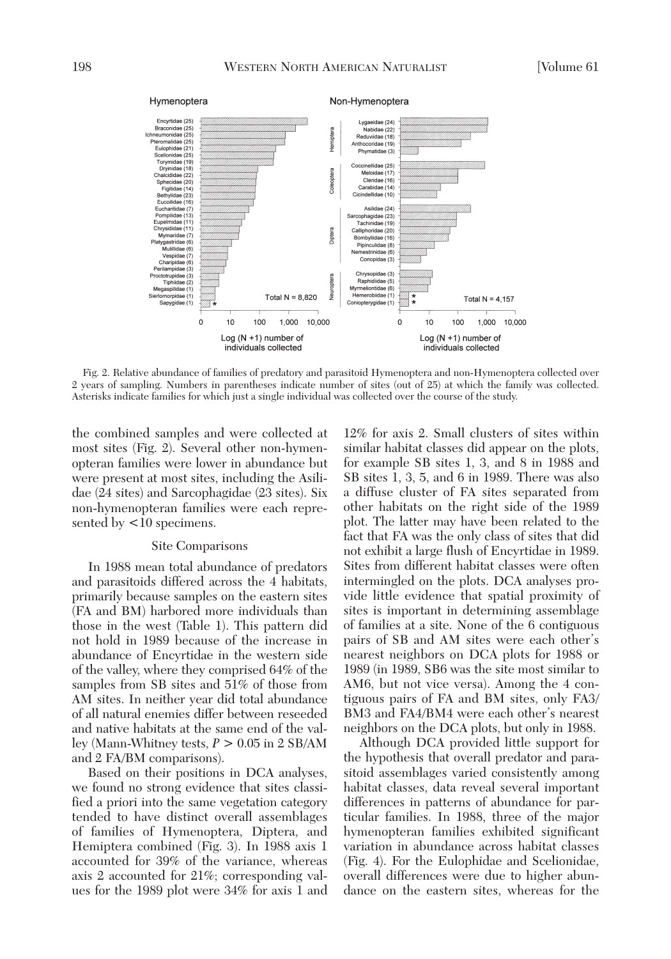

Fig. 2. Relative abundance of families of predatory and parasitoid Hymenoptera and non-Hymenoptera collected over 2 years of sampling. Numbers in parentheses indicate number of sites (out of 25) at which the family was collected. Asterisks indicate families for which just a single individual was collected over the course of the study.

the combined samples and were collected at most sites (Fig. 2). Several other non-hymenopteran families were lower in abundance but were present at most sites, including the Asilidae (24 sites) and Sarcophagidae (23 sites). Six non-hymenopteran families were each represented by  $\langle 10 \text{ specimens.} \rangle$ 

#### Site Comparisons

In 1988 mean total abundance of predators and parasitoids differed across the 4 habitats, primarily because samples on the eastern sites (FA and BM) harbored more individuals than those in the west (Table 1). This pattern did not hold in 1989 because of the increase in abundance of Encyrtidae in the western side of the valley, where they comprised 64% of the samples from SB sites and 51% of those from AM sites. In neither year did total abundance of all natural enemies differ between reseeded and native habitats at the same end of the valley (Mann-Whitney tests, *P* > 0.05 in 2 SB/AM and 2 FA/BM comparisons).

Based on their positions in DCA analyses, we found no strong evidence that sites classified a priori into the same vegetation category tended to have distinct overall assemblages of families of Hymenoptera, Diptera, and Hemiptera combined (Fig. 3). In 1988 axis 1 accounted for 39% of the variance, whereas axis 2 accounted for 21%; corresponding values for the 1989 plot were 34% for axis 1 and

12% for axis 2. Small clusters of sites within similar habitat classes did appear on the plots, for example SB sites 1, 3, and 8 in 1988 and SB sites 1, 3, 5, and 6 in 1989. There was also a diffuse cluster of FA sites separated from other habitats on the right side of the 1989 plot. The latter may have been related to the fact that FA was the only class of sites that did not exhibit a large flush of Encyrtidae in 1989. Sites from different habitat classes were often intermingled on the plots. DCA analyses provide little evidence that spatial proximity of sites is important in determining assemblage of families at a site. None of the 6 contiguous pairs of SB and AM sites were each other's nearest neighbors on DCA plots for 1988 or 1989 (in 1989, SB6 was the site most similar to AM6, but not vice versa). Among the 4 contiguous pairs of FA and BM sites, only FA3/ BM3 and FA4/BM4 were each other's nearest neighbors on the DCA plots, but only in 1988.

Although DCA provided little support for the hypothesis that overall predator and parasitoid assemblages varied consistently among habitat classes, data reveal several important differences in patterns of abundance for particular families. In 1988, three of the major hymenopteran families exhibited significant variation in abundance across habitat classes (Fig. 4). For the Eulophidae and Scelionidae, overall differences were due to higher abundance on the eastern sites, whereas for the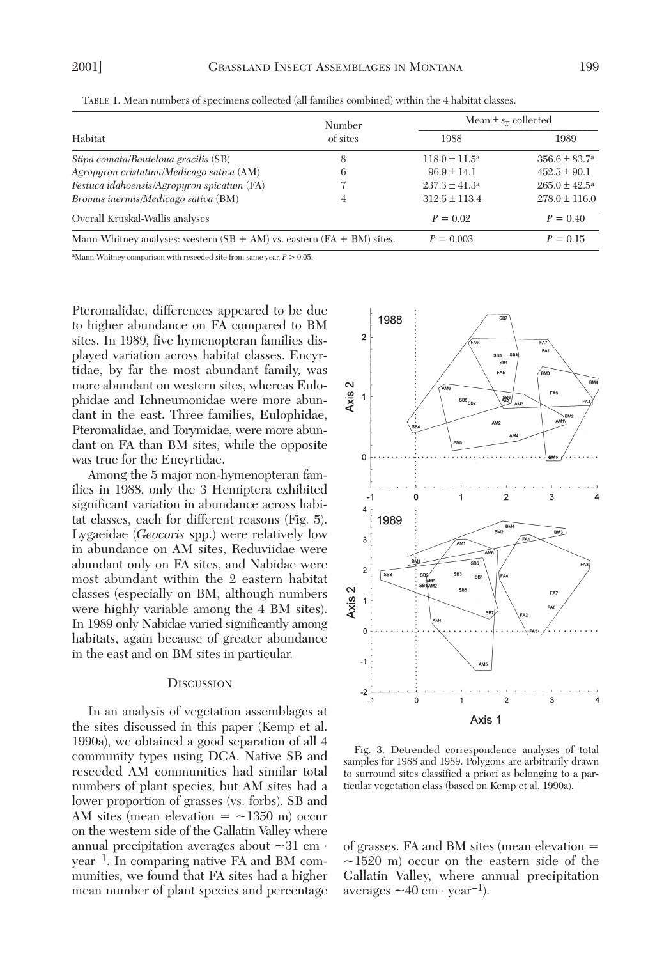| Habitat                                                                   | Number<br>of sites | Mean $\pm s_{\overline{x}}$ collected |                          |
|---------------------------------------------------------------------------|--------------------|---------------------------------------|--------------------------|
|                                                                           |                    | 1988                                  | 1989                     |
| Stipa comata/Bouteloua gracilis (SB)                                      | 8                  | $118.0 \pm 11.5^{\circ}$              | $356.6 \pm 83.7^{\circ}$ |
| Agropyron cristatum/Medicago sativa (AM)                                  | 6                  | $96.9 \pm 14.1$                       | $452.5 \pm 90.1$         |
| Festuca idahoensis/Agropyron spicatum (FA)                                |                    | $237.3 \pm 41.3^a$                    | $265.0 \pm 42.5^{\rm a}$ |
| Bromus inermis/Medicago sativa (BM)                                       | 4                  | $312.5 \pm 113.4$                     | $278.0 \pm 116.0$        |
| Overall Kruskal-Wallis analyses                                           |                    | $P = 0.02$                            | $P = 0.40$               |
| Mann-Whitney analyses: western $(SB + AM)$ vs. eastern $(FA + BM)$ sites. |                    | $P = 0.003$                           | $P = 0.15$               |

TABLE 1. Mean numbers of specimens collected (all families combined) within the 4 habitat classes.

<sup>a</sup>Mann-Whitney comparison with reseeded site from same year,  $P > 0.05$ .

Pteromalidae, differences appeared to be due to higher abundance on FA compared to BM sites. In 1989, five hymenopteran families displayed variation across habitat classes. Encyrtidae, by far the most abundant family, was more abundant on western sites, whereas Eulophidae and Ichneumonidae were more abundant in the east. Three families, Eulophidae, Pteromalidae, and Torymidae, were more abundant on FA than BM sites, while the opposite was true for the Encyrtidae.

Among the 5 major non-hymenopteran families in 1988, only the 3 Hemiptera exhibited significant variation in abundance across habitat classes, each for different reasons (Fig. 5). Lygaeidae (*Geocoris* spp.) were relatively low in abundance on AM sites, Reduviidae were abundant only on FA sites, and Nabidae were most abundant within the 2 eastern habitat classes (especially on BM, although numbers were highly variable among the 4 BM sites). In 1989 only Nabidae varied significantly among habitats, again because of greater abundance in the east and on BM sites in particular.

#### **DISCUSSION**

In an analysis of vegetation assemblages at the sites discussed in this paper (Kemp et al. 1990a), we obtained a good separation of all 4 community types using DCA. Native SB and reseeded AM communities had similar total numbers of plant species, but AM sites had a lower proportion of grasses (vs. forbs). SB and AM sites (mean elevation  $=$   $\sim$ 1350 m) occur on the western side of the Gallatin Valley where annual precipitation averages about  $\sim$ 31 cm ⋅ year–1. In comparing native FA and BM communities, we found that FA sites had a higher mean number of plant species and percentage



Fig. 3. Detrended correspondence analyses of total samples for 1988 and 1989. Polygons are arbitrarily drawn to surround sites classified a priori as belonging to a particular vegetation class (based on Kemp et al. 1990a).

of grasses. FA and BM sites (mean elevation =  $\sim$ 1520 m) occur on the eastern side of the Gallatin Valley, where annual precipitation  $averages \sim 40 \text{ cm} \cdot \text{year}^{-1}$ .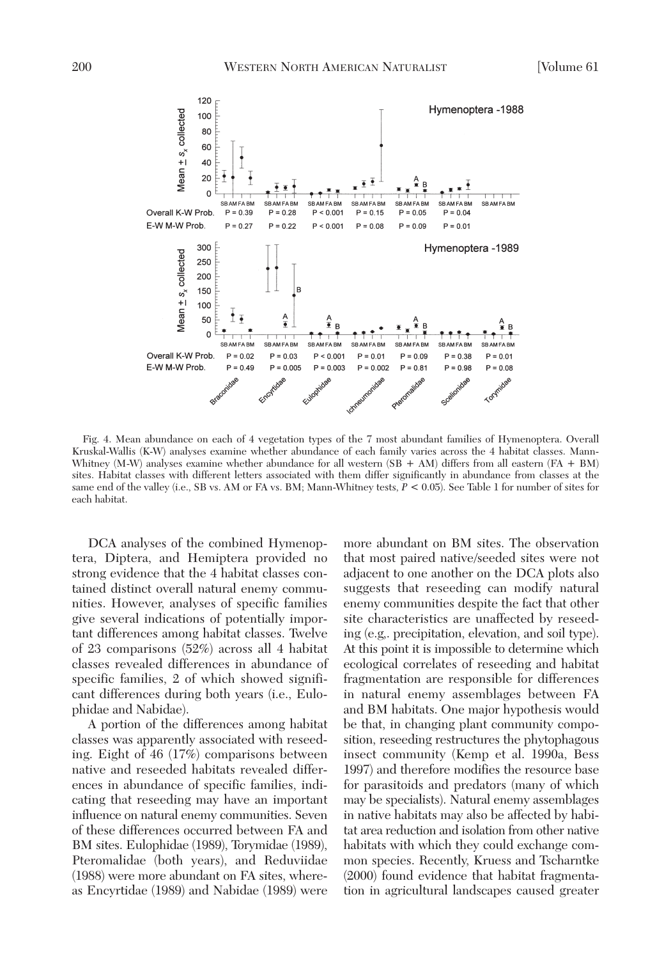

Fig. 4. Mean abundance on each of 4 vegetation types of the 7 most abundant families of Hymenoptera. Overall Kruskal-Wallis (K-W) analyses examine whether abundance of each family varies across the 4 habitat classes. Mann-Whitney (M-W) analyses examine whether abundance for all western  $(SB + AM)$  differs from all eastern  $(FA + BM)$ sites. Habitat classes with different letters associated with them differ significantly in abundance from classes at the same end of the valley (i.e., SB vs. AM or FA vs. BM; Mann-Whitney tests, *P* < 0.05). See Table 1 for number of sites for each habitat.

DCA analyses of the combined Hymenoptera, Diptera, and Hemiptera provided no strong evidence that the 4 habitat classes contained distinct overall natural enemy communities. However, analyses of specific families give several indications of potentially important differences among habitat classes. Twelve of 23 comparisons (52%) across all 4 habitat classes revealed differences in abundance of specific families, 2 of which showed significant differences during both years (i.e., Eulophidae and Nabidae).

A portion of the differences among habitat classes was apparently associated with reseeding. Eight of 46 (17%) comparisons between native and reseeded habitats revealed differences in abundance of specific families, indicating that reseeding may have an important influence on natural enemy communities. Seven of these differences occurred between FA and BM sites. Eulophidae (1989), Torymidae (1989), Pteromalidae (both years), and Reduviidae (1988) were more abundant on FA sites, whereas Encyrtidae (1989) and Nabidae (1989) were more abundant on BM sites. The observation that most paired native/seeded sites were not adjacent to one another on the DCA plots also suggests that reseeding can modify natural enemy communities despite the fact that other site characteristics are unaffected by reseeding (e.g,. precipitation, elevation, and soil type). At this point it is impossible to determine which ecological correlates of reseeding and habitat fragmentation are responsible for differences in natural enemy assemblages between FA and BM habitats. One major hypothesis would be that, in changing plant community composition, reseeding restructures the phytophagous insect community (Kemp et al. 1990a, Bess 1997) and therefore modifies the resource base for parasitoids and predators (many of which may be specialists). Natural enemy assemblages in native habitats may also be affected by habitat area reduction and isolation from other native habitats with which they could exchange common species. Recently, Kruess and Tscharntke (2000) found evidence that habitat fragmentation in agricultural landscapes caused greater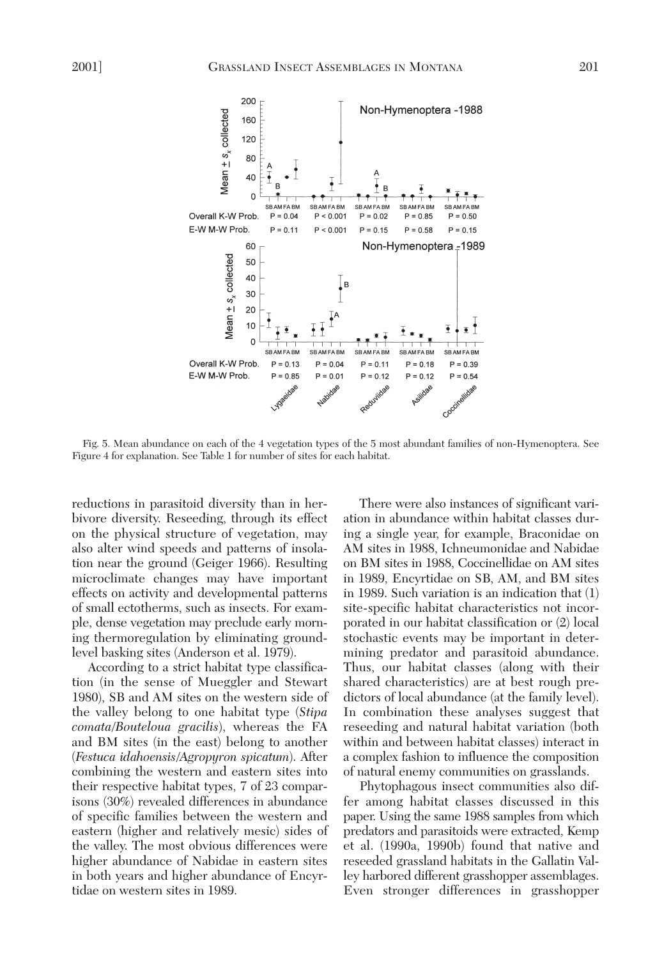

Fig. 5. Mean abundance on each of the 4 vegetation types of the 5 most abundant families of non-Hymenoptera. See Figure 4 for explanation. See Table 1 for number of sites for each habitat.

reductions in parasitoid diversity than in herbivore diversity. Reseeding, through its effect on the physical structure of vegetation, may also alter wind speeds and patterns of insolation near the ground (Geiger 1966). Resulting microclimate changes may have important effects on activity and developmental patterns of small ectotherms, such as insects. For example, dense vegetation may preclude early morning thermoregulation by eliminating groundlevel basking sites (Anderson et al. 1979).

According to a strict habitat type classification (in the sense of Mueggler and Stewart 1980), SB and AM sites on the western side of the valley belong to one habitat type (*Stipa comata*/*Bouteloua gracilis*), whereas the FA and BM sites (in the east) belong to another (*Festuca idahoensis*/*Agropyron spicatum*). After combining the western and eastern sites into their respective habitat types, 7 of 23 comparisons (30%) revealed differences in abundance of specific families between the western and eastern (higher and relatively mesic) sides of the valley. The most obvious differences were higher abundance of Nabidae in eastern sites in both years and higher abundance of Encyrtidae on western sites in 1989.

There were also instances of significant variation in abundance within habitat classes during a single year, for example, Braconidae on AM sites in 1988, Ichneumonidae and Nabidae on BM sites in 1988, Coccinellidae on AM sites in 1989, Encyrtidae on SB, AM, and BM sites in 1989. Such variation is an indication that (1) site-specific habitat characteristics not incorporated in our habitat classification or (2) local stochastic events may be important in determining predator and parasitoid abundance. Thus, our habitat classes (along with their shared characteristics) are at best rough predictors of local abundance (at the family level). In combination these analyses suggest that reseeding and natural habitat variation (both within and between habitat classes) interact in a complex fashion to influence the composition of natural enemy communities on grasslands.

Phytophagous insect communities also differ among habitat classes discussed in this paper. Using the same 1988 samples from which predators and parasitoids were extracted, Kemp et al. (1990a, 1990b) found that native and reseeded grassland habitats in the Gallatin Valley harbored different grasshopper assemblages. Even stronger differences in grasshopper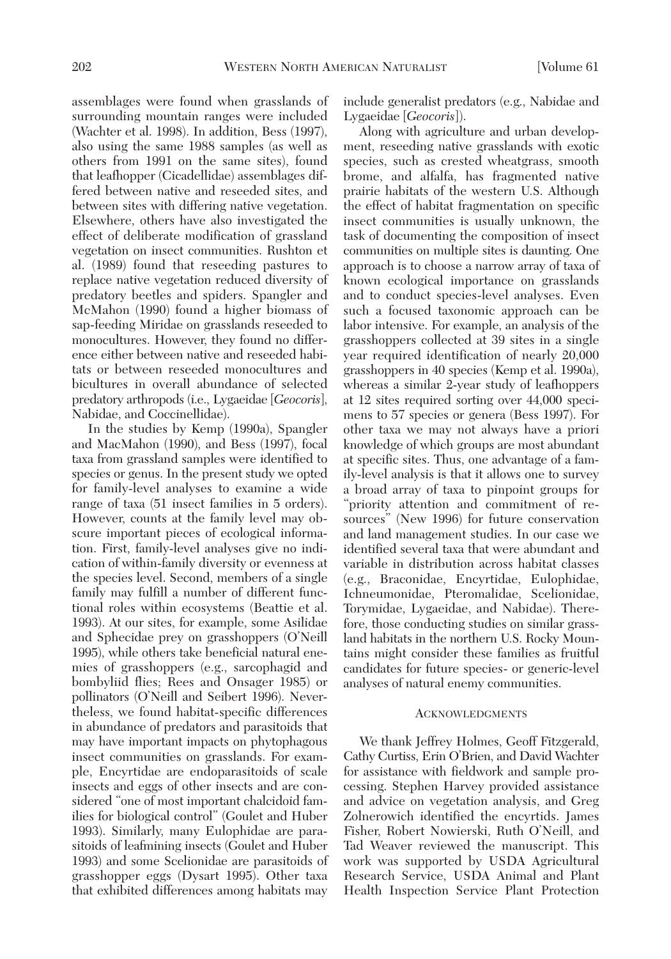assemblages were found when grasslands of surrounding mountain ranges were included (Wachter et al. 1998). In addition, Bess (1997), also using the same 1988 samples (as well as others from 1991 on the same sites), found that leafhopper (Cicadellidae) assemblages differed between native and reseeded sites, and between sites with differing native vegetation. Elsewhere, others have also investigated the effect of deliberate modification of grassland vegetation on insect communities. Rushton et al. (1989) found that reseeding pastures to replace native vegetation reduced diversity of predatory beetles and spiders. Spangler and McMahon (1990) found a higher biomass of sap-feeding Miridae on grasslands reseeded to monocultures. However, they found no difference either between native and reseeded habitats or between reseeded monocultures and bicultures in overall abundance of selected predatory arthropods (i.e., Lygaeidae [*Geocoris*], Nabidae, and Coccinellidae).

In the studies by Kemp (1990a), Spangler and MacMahon (1990), and Bess (1997), focal taxa from grassland samples were identified to species or genus. In the present study we opted for family-level analyses to examine a wide range of taxa (51 insect families in 5 orders). However, counts at the family level may obscure important pieces of ecological information. First, family-level analyses give no indication of within-family diversity or evenness at the species level. Second, members of a single family may fulfill a number of different functional roles within ecosystems (Beattie et al. 1993). At our sites, for example, some Asilidae and Sphecidae prey on grasshoppers (O'Neill 1995), while others take beneficial natural enemies of grasshoppers (e.g., sarcophagid and bombyliid flies; Rees and Onsager 1985) or pollinators (O'Neill and Seibert 1996). Nevertheless, we found habitat-specific differences in abundance of predators and parasitoids that may have important impacts on phytophagous insect communities on grasslands. For example, Encyrtidae are endoparasitoids of scale insects and eggs of other insects and are considered "one of most important chalcidoid families for biological control" (Goulet and Huber 1993). Similarly, many Eulophidae are parasitoids of leafmining insects (Goulet and Huber 1993) and some Scelionidae are parasitoids of grasshopper eggs (Dysart 1995). Other taxa that exhibited differences among habitats may include generalist predators (e.g., Nabidae and Lygaeidae [*Geocoris*]).

Along with agriculture and urban development, reseeding native grasslands with exotic species, such as crested wheatgrass, smooth brome, and alfalfa, has fragmented native prairie habitats of the western U.S. Although the effect of habitat fragmentation on specific insect communities is usually unknown, the task of documenting the composition of insect communities on multiple sites is daunting. One approach is to choose a narrow array of taxa of known ecological importance on grasslands and to conduct species-level analyses. Even such a focused taxonomic approach can be labor intensive. For example, an analysis of the grasshoppers collected at 39 sites in a single year required identification of nearly 20,000 grasshoppers in 40 species (Kemp et al. 1990a), whereas a similar 2-year study of leafhoppers at 12 sites required sorting over 44,000 specimens to 57 species or genera (Bess 1997). For other taxa we may not always have a priori knowledge of which groups are most abundant at specific sites. Thus, one advantage of a family-level analysis is that it allows one to survey a broad array of taxa to pinpoint groups for "priority attention and commitment of resources" (New 1996) for future conservation and land management studies. In our case we identified several taxa that were abundant and variable in distribution across habitat classes (e.g., Braconidae, Encyrtidae, Eulophidae, Ichneumonidae, Pteromalidae, Scelionidae, Torymidae, Lygaeidae, and Nabidae). Therefore, those conducting studies on similar grassland habitats in the northern U.S. Rocky Mountains might consider these families as fruitful candidates for future species- or generic-level analyses of natural enemy communities.

# **ACKNOWLEDGMENTS**

We thank Jeffrey Holmes, Geoff Fitzgerald, Cathy Curtiss, Erin O'Brien, and David Wachter for assistance with fieldwork and sample processing. Stephen Harvey provided assistance and advice on vegetation analysis, and Greg Zolnerowich identified the encyrtids. James Fisher, Robert Nowierski, Ruth O'Neill, and Tad Weaver reviewed the manuscript. This work was supported by USDA Agricultural Research Service, USDA Animal and Plant Health Inspection Service Plant Protection